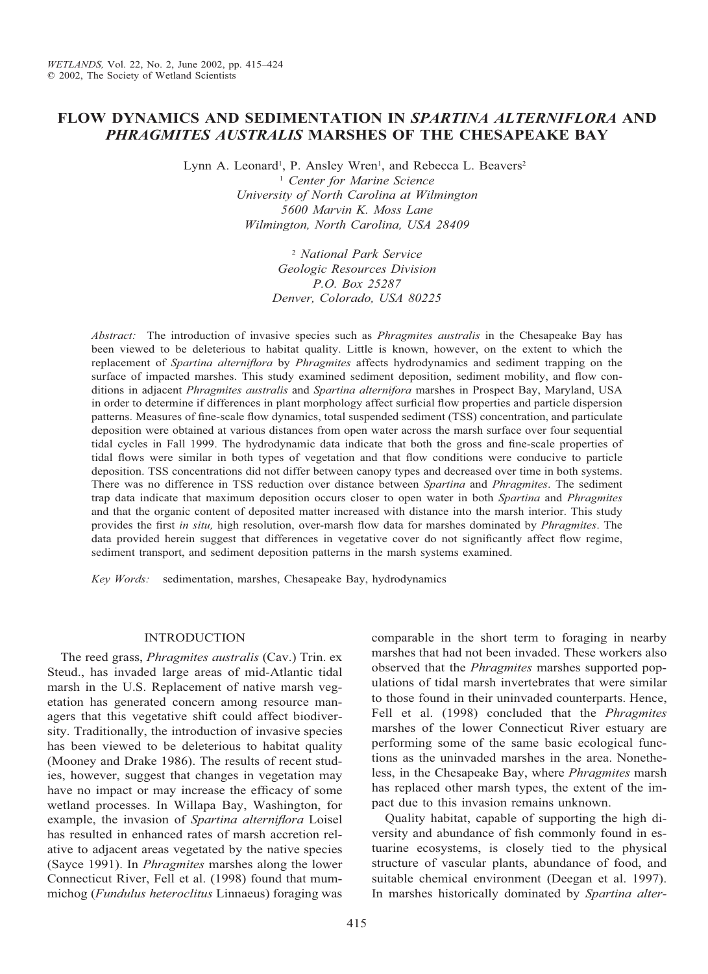# **FLOW DYNAMICS AND SEDIMENTATION IN** *SPARTINA ALTERNIFLORA* **AND** *PHRAGMITES AUSTRALIS* **MARSHES OF THE CHESAPEAKE BAY**

Lynn A. Leonard<sup>1</sup>, P. Ansley Wren<sup>1</sup>, and Rebecca L. Beavers<sup>2</sup>

<sup>1</sup> *Center for Marine Science University of North Carolina at Wilmington 5600 Marvin K. Moss Lane Wilmington, North Carolina, USA 28409*

> <sup>2</sup> *National Park Service Geologic Resources Division P.O. Box 25287 Denver, Colorado, USA 80225*

*Abstract:* The introduction of invasive species such as *Phragmites australis* in the Chesapeake Bay has been viewed to be deleterious to habitat quality. Little is known, however, on the extent to which the replacement of *Spartina alterniflora* by *Phragmites* affects hydrodynamics and sediment trapping on the surface of impacted marshes. This study examined sediment deposition, sediment mobility, and flow conditions in adjacent *Phragmites australis* and *Spartina alternifora* marshes in Prospect Bay, Maryland, USA in order to determine if differences in plant morphology affect surficial flow properties and particle dispersion patterns. Measures of fine-scale flow dynamics, total suspended sediment (TSS) concentration, and particulate deposition were obtained at various distances from open water across the marsh surface over four sequential tidal cycles in Fall 1999. The hydrodynamic data indicate that both the gross and fine-scale properties of tidal flows were similar in both types of vegetation and that flow conditions were conducive to particle deposition. TSS concentrations did not differ between canopy types and decreased over time in both systems. There was no difference in TSS reduction over distance between *Spartina* and *Phragmites*. The sediment trap data indicate that maximum deposition occurs closer to open water in both *Spartina* and *Phragmites* and that the organic content of deposited matter increased with distance into the marsh interior. This study provides the first *in situ,* high resolution, over-marsh flow data for marshes dominated by *Phragmites*. The data provided herein suggest that differences in vegetative cover do not significantly affect flow regime, sediment transport, and sediment deposition patterns in the marsh systems examined.

*Key Words:* sedimentation, marshes, Chesapeake Bay, hydrodynamics

## INTRODUCTION

The reed grass, *Phragmites australis* (Cav.) Trin. ex Steud., has invaded large areas of mid-Atlantic tidal marsh in the U.S. Replacement of native marsh vegetation has generated concern among resource managers that this vegetative shift could affect biodiversity. Traditionally, the introduction of invasive species has been viewed to be deleterious to habitat quality (Mooney and Drake 1986). The results of recent studies, however, suggest that changes in vegetation may have no impact or may increase the efficacy of some wetland processes. In Willapa Bay, Washington, for example, the invasion of *Spartina alterniflora* Loisel has resulted in enhanced rates of marsh accretion relative to adjacent areas vegetated by the native species (Sayce 1991). In *Phragmites* marshes along the lower Connecticut River, Fell et al. (1998) found that mummichog (*Fundulus heteroclitus* Linnaeus) foraging was

comparable in the short term to foraging in nearby marshes that had not been invaded. These workers also observed that the *Phragmites* marshes supported populations of tidal marsh invertebrates that were similar to those found in their uninvaded counterparts. Hence, Fell et al. (1998) concluded that the *Phragmites* marshes of the lower Connecticut River estuary are performing some of the same basic ecological functions as the uninvaded marshes in the area. Nonetheless, in the Chesapeake Bay, where *Phragmites* marsh has replaced other marsh types, the extent of the impact due to this invasion remains unknown.

Quality habitat, capable of supporting the high diversity and abundance of fish commonly found in estuarine ecosystems, is closely tied to the physical structure of vascular plants, abundance of food, and suitable chemical environment (Deegan et al. 1997). In marshes historically dominated by *Spartina alter-*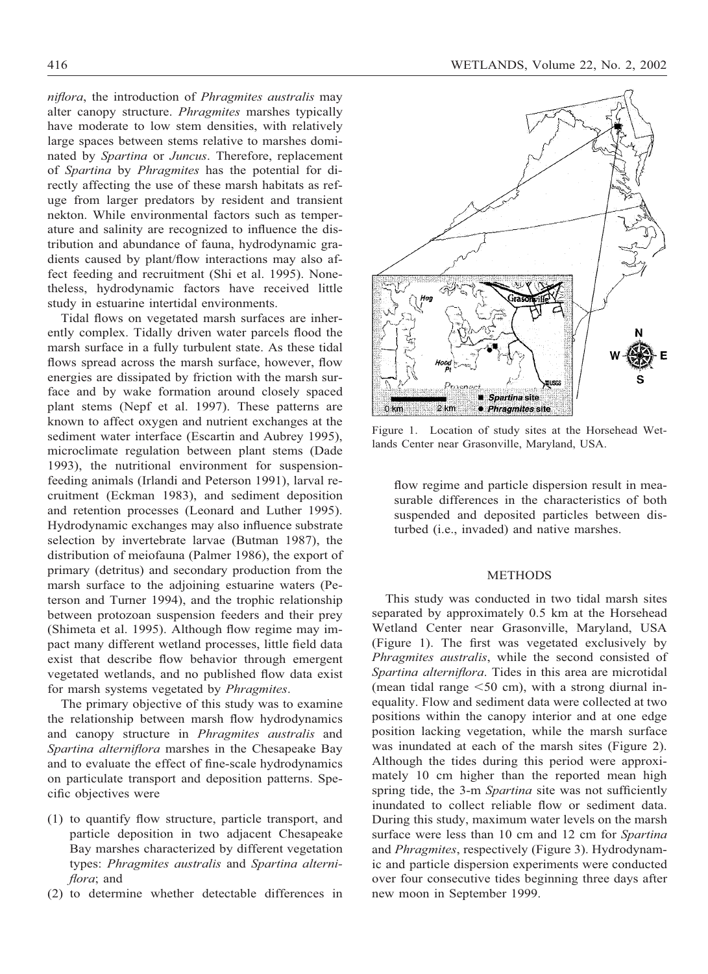*niflora*, the introduction of *Phragmites australis* may alter canopy structure. *Phragmites* marshes typically have moderate to low stem densities, with relatively large spaces between stems relative to marshes dominated by *Spartina* or *Juncus*. Therefore, replacement of *Spartina* by *Phragmites* has the potential for directly affecting the use of these marsh habitats as refuge from larger predators by resident and transient nekton. While environmental factors such as temperature and salinity are recognized to influence the distribution and abundance of fauna, hydrodynamic gradients caused by plant/flow interactions may also affect feeding and recruitment (Shi et al. 1995). Nonetheless, hydrodynamic factors have received little study in estuarine intertidal environments.

Tidal flows on vegetated marsh surfaces are inherently complex. Tidally driven water parcels flood the marsh surface in a fully turbulent state. As these tidal flows spread across the marsh surface, however, flow energies are dissipated by friction with the marsh surface and by wake formation around closely spaced plant stems (Nepf et al. 1997). These patterns are known to affect oxygen and nutrient exchanges at the sediment water interface (Escartin and Aubrey 1995), microclimate regulation between plant stems (Dade 1993), the nutritional environment for suspensionfeeding animals (Irlandi and Peterson 1991), larval recruitment (Eckman 1983), and sediment deposition and retention processes (Leonard and Luther 1995). Hydrodynamic exchanges may also influence substrate selection by invertebrate larvae (Butman 1987), the distribution of meiofauna (Palmer 1986), the export of primary (detritus) and secondary production from the marsh surface to the adjoining estuarine waters (Peterson and Turner 1994), and the trophic relationship between protozoan suspension feeders and their prey (Shimeta et al. 1995). Although flow regime may impact many different wetland processes, little field data exist that describe flow behavior through emergent vegetated wetlands, and no published flow data exist for marsh systems vegetated by *Phragmites*.

The primary objective of this study was to examine the relationship between marsh flow hydrodynamics and canopy structure in *Phragmites australis* and *Spartina alterniflora* marshes in the Chesapeake Bay and to evaluate the effect of fine-scale hydrodynamics on particulate transport and deposition patterns. Specific objectives were

- (1) to quantify flow structure, particle transport, and particle deposition in two adjacent Chesapeake Bay marshes characterized by different vegetation types: *Phragmites australis* and *Spartina alterniflora*; and
- (2) to determine whether detectable differences in



Figure 1. Location of study sites at the Horsehead Wetlands Center near Grasonville, Maryland, USA.

flow regime and particle dispersion result in measurable differences in the characteristics of both suspended and deposited particles between disturbed (i.e., invaded) and native marshes.

## **METHODS**

This study was conducted in two tidal marsh sites separated by approximately 0.5 km at the Horsehead Wetland Center near Grasonville, Maryland, USA (Figure 1). The first was vegetated exclusively by *Phragmites australis*, while the second consisted of *Spartina alterniflora*. Tides in this area are microtidal (mean tidal range  $<$  50 cm), with a strong diurnal inequality. Flow and sediment data were collected at two positions within the canopy interior and at one edge position lacking vegetation, while the marsh surface was inundated at each of the marsh sites (Figure 2). Although the tides during this period were approximately 10 cm higher than the reported mean high spring tide, the 3-m *Spartina* site was not sufficiently inundated to collect reliable flow or sediment data. During this study, maximum water levels on the marsh surface were less than 10 cm and 12 cm for *Spartina* and *Phragmites*, respectively (Figure 3). Hydrodynamic and particle dispersion experiments were conducted over four consecutive tides beginning three days after new moon in September 1999.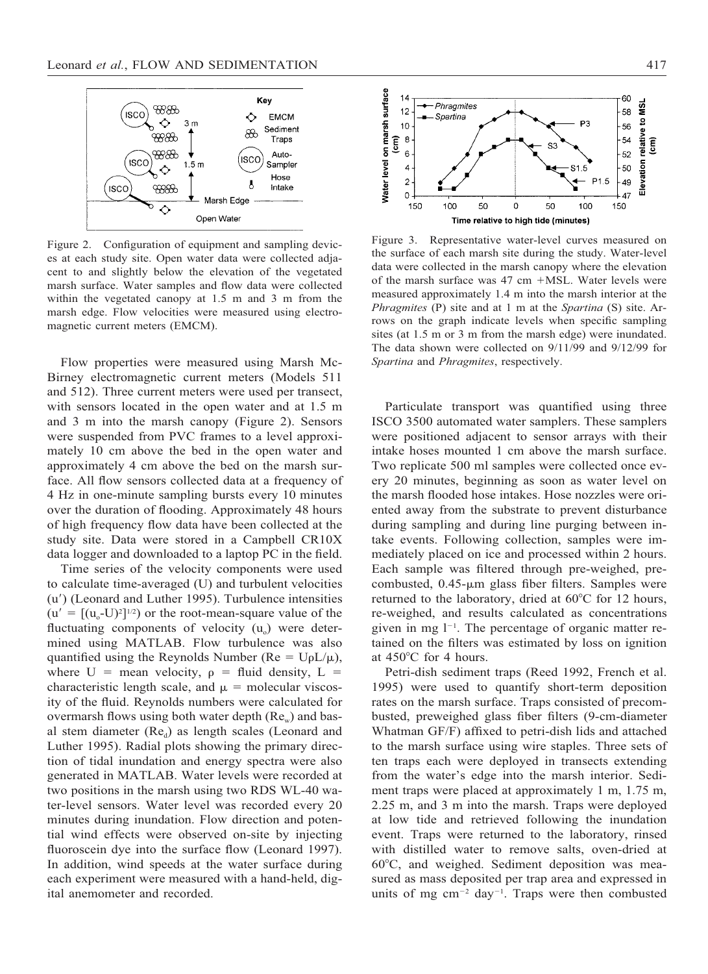

Figure 2. Configuration of equipment and sampling devices at each study site. Open water data were collected adjacent to and slightly below the elevation of the vegetated marsh surface. Water samples and flow data were collected within the vegetated canopy at 1.5 m and 3 m from the marsh edge. Flow velocities were measured using electromagnetic current meters (EMCM).

Flow properties were measured using Marsh Mc- *Spartina* and *Phragmites*, respectively. Birney electromagnetic current meters (Models 511 and 512). Three current meters were used per transect, with sensors located in the open water and at 1.5 m and 3 m into the marsh canopy (Figure 2). Sensors were suspended from PVC frames to a level approximately 10 cm above the bed in the open water and approximately 4 cm above the bed on the marsh surface. All flow sensors collected data at a frequency of 4 Hz in one-minute sampling bursts every 10 minutes over the duration of flooding. Approximately 48 hours of high frequency flow data have been collected at the study site. Data were stored in a Campbell CR10X data logger and downloaded to a laptop PC in the field.

Time series of the velocity components were used to calculate time-averaged (U) and turbulent velocities (u) (Leonard and Luther 1995). Turbulence intensities  $(u' = [(u_0-U)^2]^{1/2})$  or the root-mean-square value of the fluctuating components of velocity  $(u_0)$  were determined using MATLAB. Flow turbulence was also quantified using the Reynolds Number ( $Re = U_0L/\mu$ ), where  $U =$  mean velocity,  $\rho =$  fluid density,  $L =$ characteristic length scale, and  $\mu$  = molecular viscosity of the fluid. Reynolds numbers were calculated for overmarsh flows using both water depth  $(Re<sub>w</sub>)$  and basal stem diameter  $(Re<sub>d</sub>)$  as length scales (Leonard and Luther 1995). Radial plots showing the primary direction of tidal inundation and energy spectra were also generated in MATLAB. Water levels were recorded at two positions in the marsh using two RDS WL-40 water-level sensors. Water level was recorded every 20 minutes during inundation. Flow direction and potential wind effects were observed on-site by injecting fluoroscein dye into the surface flow (Leonard 1997). In addition, wind speeds at the water surface during each experiment were measured with a hand-held, digital anemometer and recorded.



Figure 3. Representative water-level curves measured on the surface of each marsh site during the study. Water-level data were collected in the marsh canopy where the elevation of the marsh surface was  $47 \text{ cm} + \text{MSL}$ . Water levels were measured approximately 1.4 m into the marsh interior at the *Phragmites* (P) site and at 1 m at the *Spartina* (S) site. Arrows on the graph indicate levels when specific sampling sites (at 1.5 m or 3 m from the marsh edge) were inundated. The data shown were collected on 9/11/99 and 9/12/99 for

Particulate transport was quantified using three ISCO 3500 automated water samplers. These samplers were positioned adjacent to sensor arrays with their intake hoses mounted 1 cm above the marsh surface. Two replicate 500 ml samples were collected once every 20 minutes, beginning as soon as water level on the marsh flooded hose intakes. Hose nozzles were oriented away from the substrate to prevent disturbance during sampling and during line purging between intake events. Following collection, samples were immediately placed on ice and processed within 2 hours. Each sample was filtered through pre-weighed, precombusted,  $0.45$ - $\mu$ m glass fiber filters. Samples were returned to the laboratory, dried at 60°C for 12 hours, re-weighed, and results calculated as concentrations given in mg  $1<sup>-1</sup>$ . The percentage of organic matter retained on the filters was estimated by loss on ignition at 450°C for 4 hours.

Petri-dish sediment traps (Reed 1992, French et al. 1995) were used to quantify short-term deposition rates on the marsh surface. Traps consisted of precombusted, preweighed glass fiber filters (9-cm-diameter Whatman GF/F) affixed to petri-dish lids and attached to the marsh surface using wire staples. Three sets of ten traps each were deployed in transects extending from the water's edge into the marsh interior. Sediment traps were placed at approximately 1 m, 1.75 m, 2.25 m, and 3 m into the marsh. Traps were deployed at low tide and retrieved following the inundation event. Traps were returned to the laboratory, rinsed with distilled water to remove salts, oven-dried at 60C, and weighed. Sediment deposition was measured as mass deposited per trap area and expressed in units of mg  $cm^{-2}$  day<sup>-1</sup>. Traps were then combusted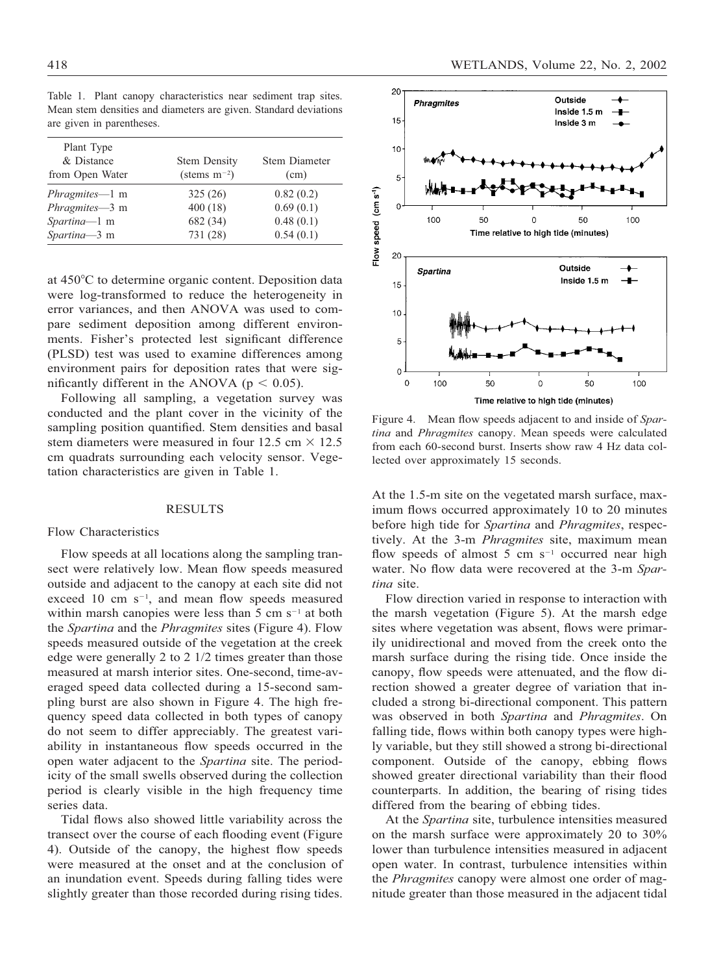*Spartina*—1 m *Spartina*—3 m

| are given in parentheses.                   |                                          |                       |  |  |  |  |
|---------------------------------------------|------------------------------------------|-----------------------|--|--|--|--|
| Plant Type<br>& Distance<br>from Open Water | <b>Stem Density</b><br>(stems $m^{-2}$ ) | Stem Diameter<br>(cm) |  |  |  |  |
| <i>Phragmites</i> —1 m                      | 325(26)                                  | 0.82(0.2)             |  |  |  |  |
| <i>Phragmites</i> —3 m                      | 400(18)                                  | 0.69(0.1)             |  |  |  |  |

682 (34) 731 (28)

0.48 (0.1) 0.54 (0.1)

Table 1. Plant canopy characteristics near sediment trap sites. Mean stem densities and diameters are given. Standard deviations are given in parentheses.

at 450°C to determine organic content. Deposition data were log-transformed to reduce the heterogeneity in error variances, and then ANOVA was used to compare sediment deposition among different environments. Fisher's protected lest significant difference (PLSD) test was used to examine differences among environment pairs for deposition rates that were sigmificantly different in the ANOVA ( $p < 0.05$ ).

Following all sampling, a vegetation survey was conducted and the plant cover in the vicinity of the sampling position quantified. Stem densities and basal stem diameters were measured in four 12.5 cm  $\times$  12.5 cm quadrats surrounding each velocity sensor. Vegetation characteristics are given in Table 1.

#### RESULTS

#### Flow Characteristics

Flow speeds at all locations along the sampling transect were relatively low. Mean flow speeds measured outside and adjacent to the canopy at each site did not exceed 10 cm  $s^{-1}$ , and mean flow speeds measured within marsh canopies were less than  $5 \text{ cm s}^{-1}$  at both the *Spartina* and the *Phragmites* sites (Figure 4). Flow speeds measured outside of the vegetation at the creek edge were generally 2 to 2 1/2 times greater than those measured at marsh interior sites. One-second, time-averaged speed data collected during a 15-second sampling burst are also shown in Figure 4. The high frequency speed data collected in both types of canopy do not seem to differ appreciably. The greatest variability in instantaneous flow speeds occurred in the open water adjacent to the *Spartina* site. The periodicity of the small swells observed during the collection period is clearly visible in the high frequency time series data.

Tidal flows also showed little variability across the transect over the course of each flooding event (Figure 4). Outside of the canopy, the highest flow speeds were measured at the onset and at the conclusion of an inundation event. Speeds during falling tides were slightly greater than those recorded during rising tides.



Figure 4. Mean flow speeds adjacent to and inside of *Spartina* and *Phragmites* canopy. Mean speeds were calculated from each 60-second burst. Inserts show raw 4 Hz data collected over approximately 15 seconds.

At the 1.5-m site on the vegetated marsh surface, maximum flows occurred approximately 10 to 20 minutes before high tide for *Spartina* and *Phragmites*, respectively. At the 3-m *Phragmites* site, maximum mean flow speeds of almost 5 cm  $s^{-1}$  occurred near high water. No flow data were recovered at the 3-m *Spartina* site.

Flow direction varied in response to interaction with the marsh vegetation (Figure 5). At the marsh edge sites where vegetation was absent, flows were primarily unidirectional and moved from the creek onto the marsh surface during the rising tide. Once inside the canopy, flow speeds were attenuated, and the flow direction showed a greater degree of variation that included a strong bi-directional component. This pattern was observed in both *Spartina* and *Phragmites*. On falling tide, flows within both canopy types were highly variable, but they still showed a strong bi-directional component. Outside of the canopy, ebbing flows showed greater directional variability than their flood counterparts. In addition, the bearing of rising tides differed from the bearing of ebbing tides.

At the *Spartina* site, turbulence intensities measured on the marsh surface were approximately 20 to 30% lower than turbulence intensities measured in adjacent open water. In contrast, turbulence intensities within the *Phragmites* canopy were almost one order of magnitude greater than those measured in the adjacent tidal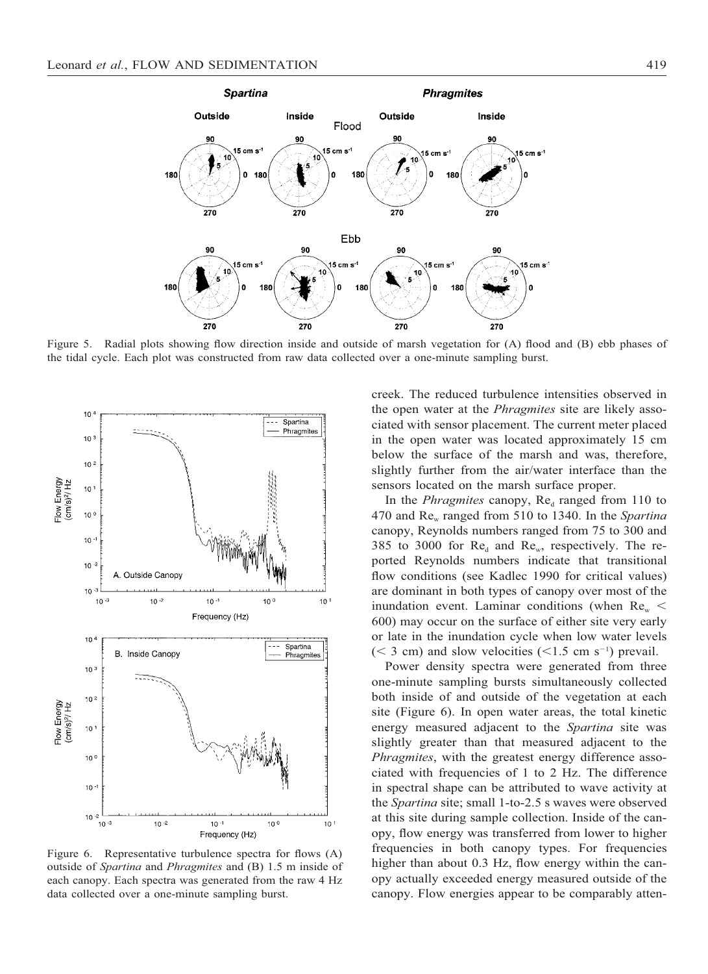

Figure 5. Radial plots showing flow direction inside and outside of marsh vegetation for (A) flood and (B) ebb phases of the tidal cycle. Each plot was constructed from raw data collected over a one-minute sampling burst.



Figure 6. Representative turbulence spectra for flows (A) outside of *Spartina* and *Phragmites* and (B) 1.5 m inside of each canopy. Each spectra was generated from the raw 4 Hz data collected over a one-minute sampling burst.

creek. The reduced turbulence intensities observed in the open water at the *Phragmites* site are likely associated with sensor placement. The current meter placed in the open water was located approximately 15 cm below the surface of the marsh and was, therefore, slightly further from the air/water interface than the sensors located on the marsh surface proper.

In the *Phragmites* canopy, Re<sub>d</sub> ranged from 110 to 470 and Rew ranged from 510 to 1340. In the *Spartina* canopy, Reynolds numbers ranged from 75 to 300 and 385 to 3000 for  $Re<sub>d</sub>$  and  $Re<sub>w</sub>$ , respectively. The reported Reynolds numbers indicate that transitional flow conditions (see Kadlec 1990 for critical values) are dominant in both types of canopy over most of the inundation event. Laminar conditions (when  $Re_{w}$  < 600) may occur on the surface of either site very early or late in the inundation cycle when low water levels  $(< 3$  cm) and slow velocities  $(< 1.5$  cm s<sup>-1</sup>) prevail.

Power density spectra were generated from three one-minute sampling bursts simultaneously collected both inside of and outside of the vegetation at each site (Figure 6). In open water areas, the total kinetic energy measured adjacent to the *Spartina* site was slightly greater than that measured adjacent to the *Phragmites*, with the greatest energy difference associated with frequencies of 1 to 2 Hz. The difference in spectral shape can be attributed to wave activity at the *Spartina* site; small 1-to-2.5 s waves were observed at this site during sample collection. Inside of the canopy, flow energy was transferred from lower to higher frequencies in both canopy types. For frequencies higher than about 0.3 Hz, flow energy within the canopy actually exceeded energy measured outside of the canopy. Flow energies appear to be comparably atten-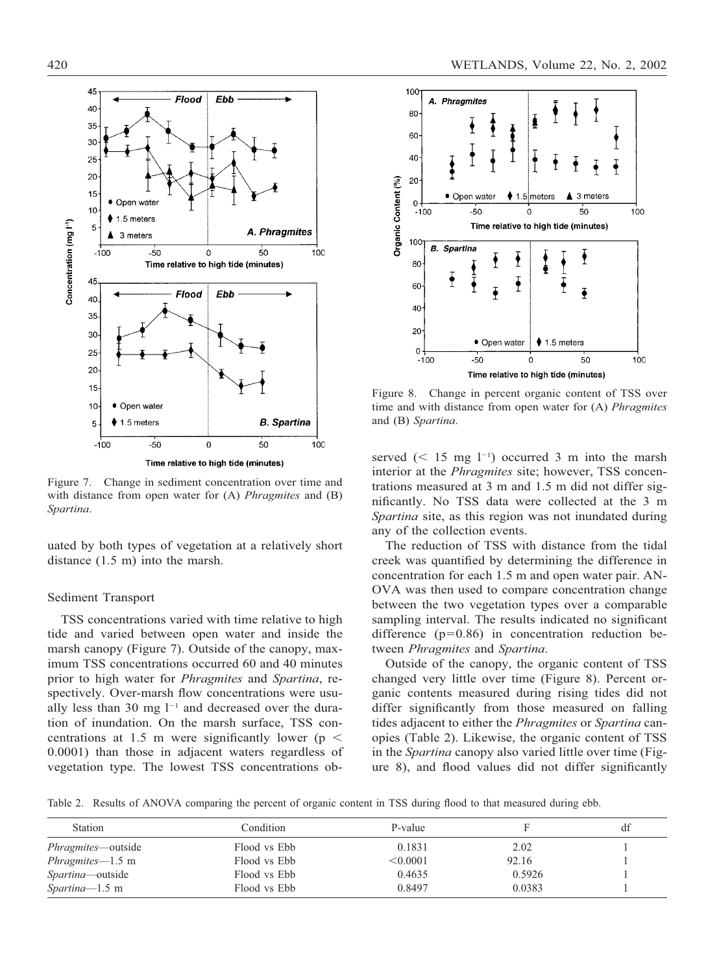

Figure 7. Change in sediment concentration over time and with distance from open water for (A) *Phragmites* and (B) *Spartina*.

uated by both types of vegetation at a relatively short distance (1.5 m) into the marsh.

### Sediment Transport

TSS concentrations varied with time relative to high tide and varied between open water and inside the marsh canopy (Figure 7). Outside of the canopy, maximum TSS concentrations occurred 60 and 40 minutes prior to high water for *Phragmites* and *Spartina*, respectively. Over-marsh flow concentrations were usually less than 30 mg  $l^{-1}$  and decreased over the duration of inundation. On the marsh surface, TSS concentrations at 1.5 m were significantly lower ( $p <$ 0.0001) than those in adjacent waters regardless of vegetation type. The lowest TSS concentrations ob-



Figure 8. Change in percent organic content of TSS over time and with distance from open water for (A) *Phragmites* and (B) *Spartina*.

served  $(< 15$  mg  $1^{-1}$ ) occurred 3 m into the marsh interior at the *Phragmites* site; however, TSS concentrations measured at 3 m and 1.5 m did not differ significantly. No TSS data were collected at the 3 m *Spartina* site, as this region was not inundated during any of the collection events.

The reduction of TSS with distance from the tidal creek was quantified by determining the difference in concentration for each 1.5 m and open water pair. AN-OVA was then used to compare concentration change between the two vegetation types over a comparable sampling interval. The results indicated no significant difference  $(p=0.86)$  in concentration reduction between *Phragmites* and *Spartina*.

Outside of the canopy, the organic content of TSS changed very little over time (Figure 8). Percent organic contents measured during rising tides did not differ significantly from those measured on falling tides adjacent to either the *Phragmites* or *Spartina* canopies (Table 2). Likewise, the organic content of TSS in the *Spartina* canopy also varied little over time (Figure 8), and flood values did not differ significantly

Table 2. Results of ANOVA comparing the percent of organic content in TSS during flood to that measured during ebb.

| <b>Station</b>             | Condition    | P-value  |        | df |
|----------------------------|--------------|----------|--------|----|
| <i>Phragmites</i> —outside | Flood vs Ebb | 0.1831   | 2.02   |    |
| <i>Phragmites</i> —1.5 m   | Flood vs Ebb | < 0.0001 | 92.16  |    |
| <i>Spartina</i> —outside   | Flood vs Ebb | 0.4635   | 0.5926 |    |
| <i>Spartina</i> —1.5 m     | Flood vs Ebb | 0.8497   | 0.0383 |    |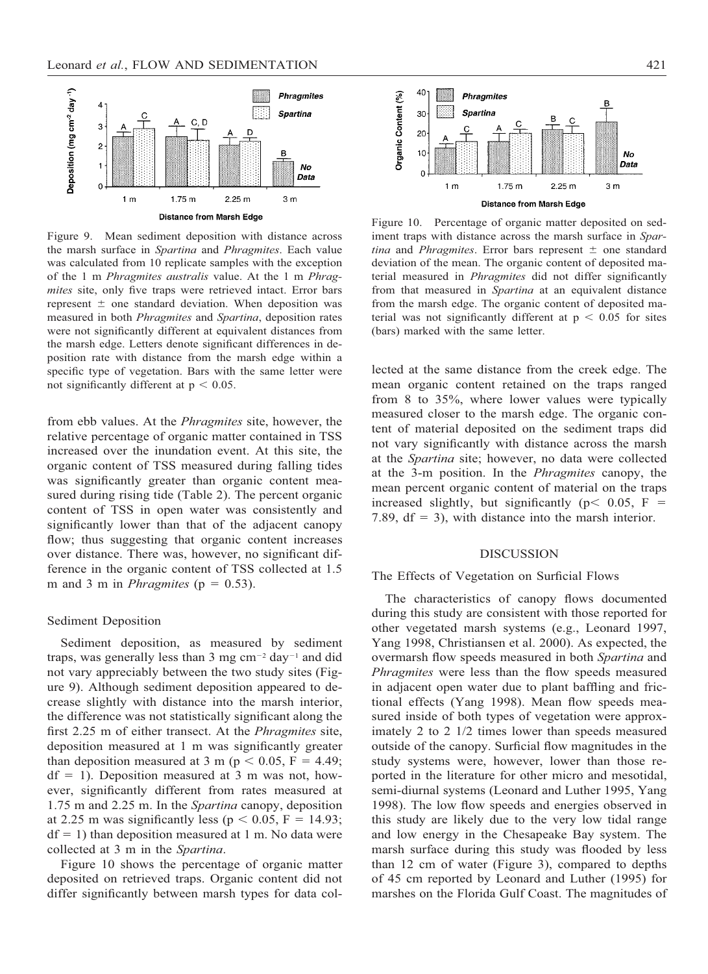

Figure 9. Mean sediment deposition with distance across the marsh surface in *Spartina* and *Phragmites*. Each value was calculated from 10 replicate samples with the exception of the 1 m *Phragmites australis* value. At the 1 m *Phragmites* site, only five traps were retrieved intact. Error bars represent  $\pm$  one standard deviation. When deposition was measured in both *Phragmites* and *Spartina*, deposition rates were not significantly different at equivalent distances from the marsh edge. Letters denote significant differences in deposition rate with distance from the marsh edge within a specific type of vegetation. Bars with the same letter were not significantly different at  $p < 0.05$ .

from ebb values. At the *Phragmites* site, however, the relative percentage of organic matter contained in TSS increased over the inundation event. At this site, the organic content of TSS measured during falling tides was significantly greater than organic content measured during rising tide (Table 2). The percent organic content of TSS in open water was consistently and significantly lower than that of the adjacent canopy flow; thus suggesting that organic content increases over distance. There was, however, no significant difference in the organic content of TSS collected at 1.5 m and 3 m in *Phragmites* ( $p = 0.53$ ).

#### Sediment Deposition

Sediment deposition, as measured by sediment traps, was generally less than 3 mg  $cm^{-2}$  day<sup>-1</sup> and did not vary appreciably between the two study sites (Figure 9). Although sediment deposition appeared to decrease slightly with distance into the marsh interior, the difference was not statistically significant along the first 2.25 m of either transect. At the *Phragmites* site, deposition measured at 1 m was significantly greater than deposition measured at 3 m ( $p < 0.05$ , F = 4.49;  $df = 1$ ). Deposition measured at 3 m was not, however, significantly different from rates measured at 1.75 m and 2.25 m. In the *Spartina* canopy, deposition at 2.25 m was significantly less ( $p < 0.05$ , F = 14.93;  $df = 1$ ) than deposition measured at 1 m. No data were collected at 3 m in the *Spartina*.

Figure 10 shows the percentage of organic matter deposited on retrieved traps. Organic content did not differ significantly between marsh types for data col-



Figure 10. Percentage of organic matter deposited on sediment traps with distance across the marsh surface in *Spartina* and *Phragmites*. Error bars represent  $\pm$  one standard deviation of the mean. The organic content of deposited material measured in *Phragmites* did not differ significantly from that measured in *Spartina* at an equivalent distance from the marsh edge. The organic content of deposited material was not significantly different at  $p < 0.05$  for sites (bars) marked with the same letter.

lected at the same distance from the creek edge. The mean organic content retained on the traps ranged from 8 to 35%, where lower values were typically measured closer to the marsh edge. The organic content of material deposited on the sediment traps did not vary significantly with distance across the marsh at the *Spartina* site; however, no data were collected at the 3-m position. In the *Phragmites* canopy, the mean percent organic content of material on the traps increased slightly, but significantly ( $p$ < 0.05, F = 7.89,  $df = 3$ ), with distance into the marsh interior.

### DISCUSSION

#### The Effects of Vegetation on Surficial Flows

The characteristics of canopy flows documented during this study are consistent with those reported for other vegetated marsh systems (e.g., Leonard 1997, Yang 1998, Christiansen et al. 2000). As expected, the overmarsh flow speeds measured in both *Spartina* and *Phragmites* were less than the flow speeds measured in adjacent open water due to plant baffling and frictional effects (Yang 1998). Mean flow speeds measured inside of both types of vegetation were approximately 2 to 2 1/2 times lower than speeds measured outside of the canopy. Surficial flow magnitudes in the study systems were, however, lower than those reported in the literature for other micro and mesotidal, semi-diurnal systems (Leonard and Luther 1995, Yang 1998). The low flow speeds and energies observed in this study are likely due to the very low tidal range and low energy in the Chesapeake Bay system. The marsh surface during this study was flooded by less than 12 cm of water (Figure 3), compared to depths of 45 cm reported by Leonard and Luther (1995) for marshes on the Florida Gulf Coast. The magnitudes of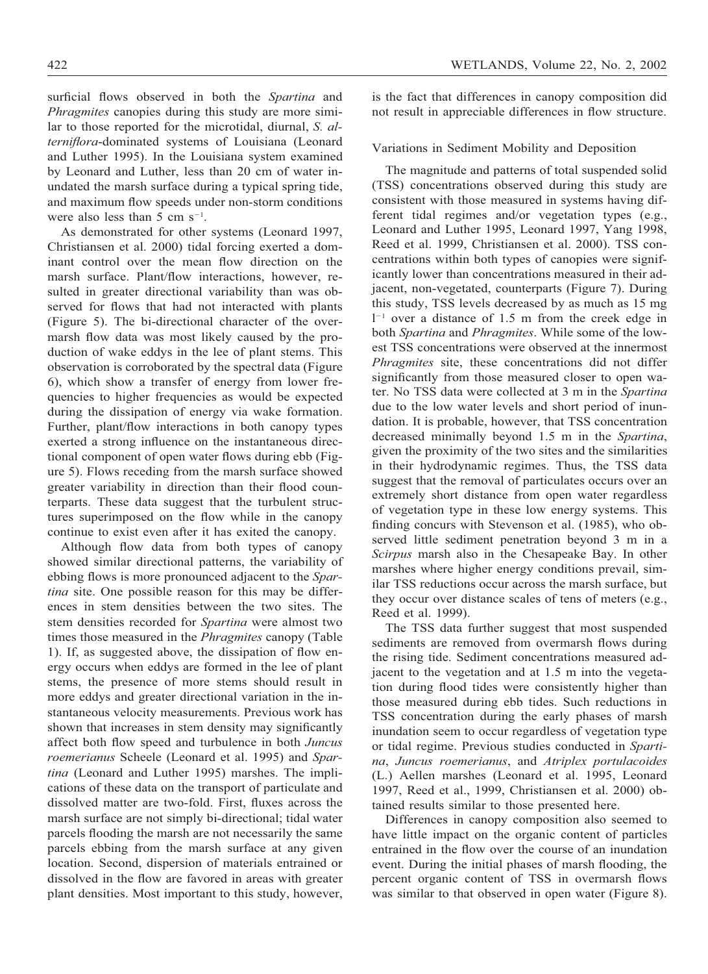surficial flows observed in both the *Spartina* and *Phragmites* canopies during this study are more similar to those reported for the microtidal, diurnal, *S. alterniflora*-dominated systems of Louisiana (Leonard and Luther 1995). In the Louisiana system examined by Leonard and Luther, less than 20 cm of water inundated the marsh surface during a typical spring tide, and maximum flow speeds under non-storm conditions were also less than  $5 \text{ cm s}^{-1}$ .

As demonstrated for other systems (Leonard 1997, Christiansen et al. 2000) tidal forcing exerted a dominant control over the mean flow direction on the marsh surface. Plant/flow interactions, however, resulted in greater directional variability than was observed for flows that had not interacted with plants (Figure 5). The bi-directional character of the overmarsh flow data was most likely caused by the production of wake eddys in the lee of plant stems. This observation is corroborated by the spectral data (Figure 6), which show a transfer of energy from lower frequencies to higher frequencies as would be expected during the dissipation of energy via wake formation. Further, plant/flow interactions in both canopy types exerted a strong influence on the instantaneous directional component of open water flows during ebb (Figure 5). Flows receding from the marsh surface showed greater variability in direction than their flood counterparts. These data suggest that the turbulent structures superimposed on the flow while in the canopy continue to exist even after it has exited the canopy.

Although flow data from both types of canopy showed similar directional patterns, the variability of ebbing flows is more pronounced adjacent to the *Spartina* site. One possible reason for this may be differences in stem densities between the two sites. The stem densities recorded for *Spartina* were almost two times those measured in the *Phragmites* canopy (Table 1). If, as suggested above, the dissipation of flow energy occurs when eddys are formed in the lee of plant stems, the presence of more stems should result in more eddys and greater directional variation in the instantaneous velocity measurements. Previous work has shown that increases in stem density may significantly affect both flow speed and turbulence in both *Juncus roemerianus* Scheele (Leonard et al. 1995) and *Spartina* (Leonard and Luther 1995) marshes. The implications of these data on the transport of particulate and dissolved matter are two-fold. First, fluxes across the marsh surface are not simply bi-directional; tidal water parcels flooding the marsh are not necessarily the same parcels ebbing from the marsh surface at any given location. Second, dispersion of materials entrained or dissolved in the flow are favored in areas with greater plant densities. Most important to this study, however,

is the fact that differences in canopy composition did not result in appreciable differences in flow structure.

## Variations in Sediment Mobility and Deposition

The magnitude and patterns of total suspended solid (TSS) concentrations observed during this study are consistent with those measured in systems having different tidal regimes and/or vegetation types (e.g., Leonard and Luther 1995, Leonard 1997, Yang 1998, Reed et al. 1999, Christiansen et al. 2000). TSS concentrations within both types of canopies were significantly lower than concentrations measured in their adjacent, non-vegetated, counterparts (Figure 7). During this study, TSS levels decreased by as much as 15 mg  $l^{-1}$  over a distance of 1.5 m from the creek edge in both *Spartina* and *Phragmites*. While some of the lowest TSS concentrations were observed at the innermost *Phragmites* site, these concentrations did not differ significantly from those measured closer to open water. No TSS data were collected at 3 m in the *Spartina* due to the low water levels and short period of inundation. It is probable, however, that TSS concentration decreased minimally beyond 1.5 m in the *Spartina*, given the proximity of the two sites and the similarities in their hydrodynamic regimes. Thus, the TSS data suggest that the removal of particulates occurs over an extremely short distance from open water regardless of vegetation type in these low energy systems. This finding concurs with Stevenson et al. (1985), who observed little sediment penetration beyond 3 m in a *Scirpus* marsh also in the Chesapeake Bay. In other marshes where higher energy conditions prevail, similar TSS reductions occur across the marsh surface, but they occur over distance scales of tens of meters (e.g., Reed et al. 1999).

The TSS data further suggest that most suspended sediments are removed from overmarsh flows during the rising tide. Sediment concentrations measured adjacent to the vegetation and at 1.5 m into the vegetation during flood tides were consistently higher than those measured during ebb tides. Such reductions in TSS concentration during the early phases of marsh inundation seem to occur regardless of vegetation type or tidal regime. Previous studies conducted in *Spartina*, *Juncus roemerianus*, and *Atriplex portulacoides* (L.) Aellen marshes (Leonard et al. 1995, Leonard 1997, Reed et al., 1999, Christiansen et al. 2000) obtained results similar to those presented here.

Differences in canopy composition also seemed to have little impact on the organic content of particles entrained in the flow over the course of an inundation event. During the initial phases of marsh flooding, the percent organic content of TSS in overmarsh flows was similar to that observed in open water (Figure 8).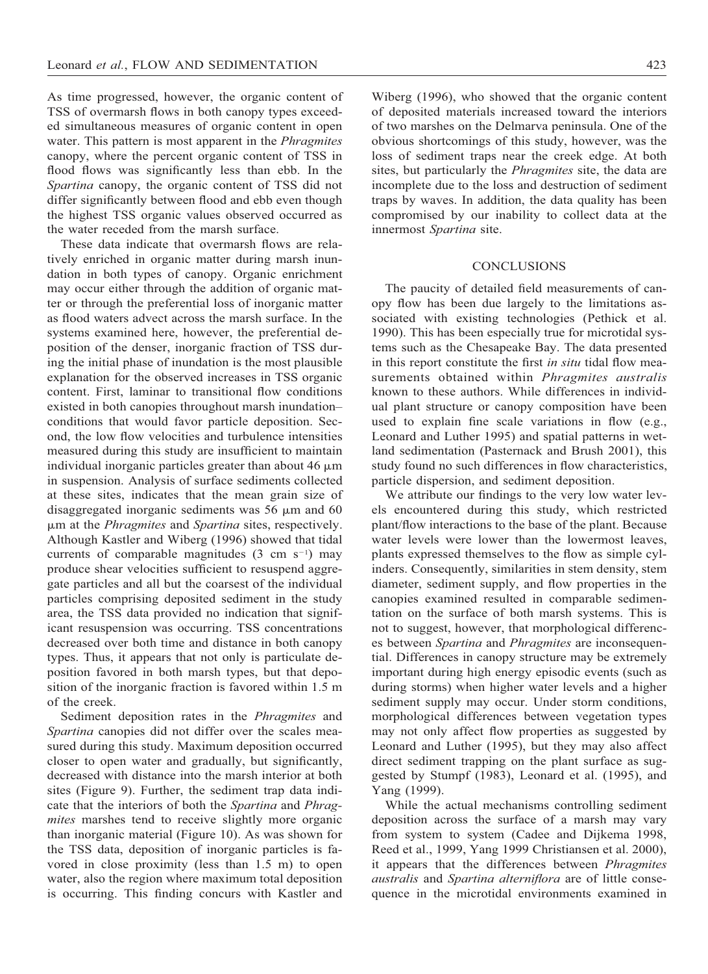As time progressed, however, the organic content of TSS of overmarsh flows in both canopy types exceeded simultaneous measures of organic content in open water. This pattern is most apparent in the *Phragmites* canopy, where the percent organic content of TSS in flood flows was significantly less than ebb. In the *Spartina* canopy, the organic content of TSS did not differ significantly between flood and ebb even though the highest TSS organic values observed occurred as the water receded from the marsh surface.

These data indicate that overmarsh flows are relatively enriched in organic matter during marsh inundation in both types of canopy. Organic enrichment may occur either through the addition of organic matter or through the preferential loss of inorganic matter as flood waters advect across the marsh surface. In the systems examined here, however, the preferential deposition of the denser, inorganic fraction of TSS during the initial phase of inundation is the most plausible explanation for the observed increases in TSS organic content. First, laminar to transitional flow conditions existed in both canopies throughout marsh inundation– conditions that would favor particle deposition. Second, the low flow velocities and turbulence intensities measured during this study are insufficient to maintain individual inorganic particles greater than about  $46 \mu m$ in suspension. Analysis of surface sediments collected at these sites, indicates that the mean grain size of disaggregated inorganic sediments was  $56 \mu m$  and  $60 \mu m$ m at the *Phragmites* and *Spartina* sites, respectively. Although Kastler and Wiberg (1996) showed that tidal currents of comparable magnitudes  $(3 \text{ cm s}^{-1})$  may produce shear velocities sufficient to resuspend aggregate particles and all but the coarsest of the individual particles comprising deposited sediment in the study area, the TSS data provided no indication that significant resuspension was occurring. TSS concentrations decreased over both time and distance in both canopy types. Thus, it appears that not only is particulate deposition favored in both marsh types, but that deposition of the inorganic fraction is favored within 1.5 m of the creek.

Sediment deposition rates in the *Phragmites* and *Spartina* canopies did not differ over the scales measured during this study. Maximum deposition occurred closer to open water and gradually, but significantly, decreased with distance into the marsh interior at both sites (Figure 9). Further, the sediment trap data indicate that the interiors of both the *Spartina* and *Phragmites* marshes tend to receive slightly more organic than inorganic material (Figure 10). As was shown for the TSS data, deposition of inorganic particles is favored in close proximity (less than 1.5 m) to open water, also the region where maximum total deposition is occurring. This finding concurs with Kastler and

Wiberg (1996), who showed that the organic content of deposited materials increased toward the interiors of two marshes on the Delmarva peninsula. One of the obvious shortcomings of this study, however, was the loss of sediment traps near the creek edge. At both sites, but particularly the *Phragmites* site, the data are incomplete due to the loss and destruction of sediment traps by waves. In addition, the data quality has been compromised by our inability to collect data at the innermost *Spartina* site.

#### **CONCLUSIONS**

The paucity of detailed field measurements of canopy flow has been due largely to the limitations associated with existing technologies (Pethick et al. 1990). This has been especially true for microtidal systems such as the Chesapeake Bay. The data presented in this report constitute the first *in situ* tidal flow measurements obtained within *Phragmites australis* known to these authors. While differences in individual plant structure or canopy composition have been used to explain fine scale variations in flow (e.g., Leonard and Luther 1995) and spatial patterns in wetland sedimentation (Pasternack and Brush 2001), this study found no such differences in flow characteristics, particle dispersion, and sediment deposition.

We attribute our findings to the very low water levels encountered during this study, which restricted plant/flow interactions to the base of the plant. Because water levels were lower than the lowermost leaves, plants expressed themselves to the flow as simple cylinders. Consequently, similarities in stem density, stem diameter, sediment supply, and flow properties in the canopies examined resulted in comparable sedimentation on the surface of both marsh systems. This is not to suggest, however, that morphological differences between *Spartina* and *Phragmites* are inconsequential. Differences in canopy structure may be extremely important during high energy episodic events (such as during storms) when higher water levels and a higher sediment supply may occur. Under storm conditions, morphological differences between vegetation types may not only affect flow properties as suggested by Leonard and Luther (1995), but they may also affect direct sediment trapping on the plant surface as suggested by Stumpf (1983), Leonard et al. (1995), and Yang (1999).

While the actual mechanisms controlling sediment deposition across the surface of a marsh may vary from system to system (Cadee and Dijkema 1998, Reed et al., 1999, Yang 1999 Christiansen et al. 2000), it appears that the differences between *Phragmites australis* and *Spartina alterniflora* are of little consequence in the microtidal environments examined in